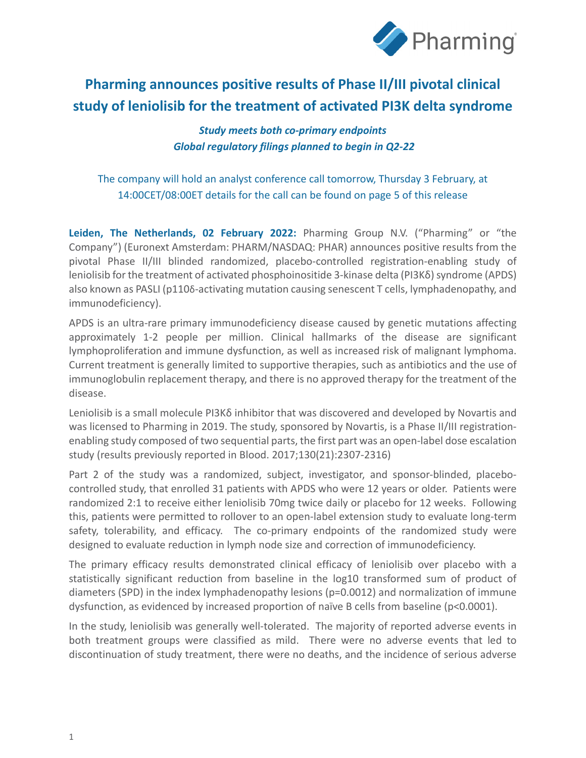

# **Pharming announces positive results of Phase II/III pivotal clinical study of leniolisib for the treatment of activated PI3K delta syndrome**

*Study meets both co-primary endpoints Global regulatory filings planned to begin in Q2-22*

The company will hold an analyst conference call tomorrow, Thursday 3 February, at 14:00CET/08:00ET details for the call can be found on page 5 of this release

**Leiden, The Netherlands, 02 February 2022:** Pharming Group N.V. ("Pharming" or "the Company") (Euronext Amsterdam: PHARM/NASDAQ: PHAR) announces positive results from the pivotal Phase II/III blinded randomized, placebo-controlled registration-enabling study of leniolisib for the treatment of activated phosphoinositide 3-kinase delta (PI3Kδ) syndrome (APDS) also known as PASLI (p1106-activating mutation causing senescent T cells, lymphadenopathy, and immunodeficiency).

APDS is an ultra-rare primary immunodeficiency disease caused by genetic mutations affecting approximately 1-2 people per million. Clinical hallmarks of the disease are significant lymphoproliferation and immune dysfunction, as well as increased risk of malignant lymphoma. Current treatment is generally limited to supportive therapies, such as antibiotics and the use of immunoglobulin replacement therapy, and there is no approved therapy for the treatment of the disease.

Leniolisib is a small molecule PI3Kδ inhibitor that was discovered and developed by Novartis and was licensed to Pharming in 2019. The study, sponsored by Novartis, is a Phase II/III registrationenabling study composed of two sequential parts, the first part was an open-label dose escalation study (results previously reported in Blood. 2017;130(21):2307-2316)

Part 2 of the study was a randomized, subject, investigator, and sponsor-blinded, placebocontrolled study, that enrolled 31 patients with APDS who were 12 years or older. Patients were randomized 2:1 to receive either leniolisib 70mg twice daily or placebo for 12 weeks. Following this, patients were permitted to rollover to an open-label extension study to evaluate long-term safety, tolerability, and efficacy. The co-primary endpoints of the randomized study were designed to evaluate reduction in lymph node size and correction of immunodeficiency.

The primary efficacy results demonstrated clinical efficacy of leniolisib over placebo with a statistically significant reduction from baseline in the log10 transformed sum of product of diameters (SPD) in the index lymphadenopathy lesions (p=0.0012) and normalization of immune dysfunction, as evidenced by increased proportion of naïve B cells from baseline (p<0.0001).

In the study, leniolisib was generally well-tolerated. The majority of reported adverse events in both treatment groups were classified as mild. There were no adverse events that led to discontinuation of study treatment, there were no deaths, and the incidence of serious adverse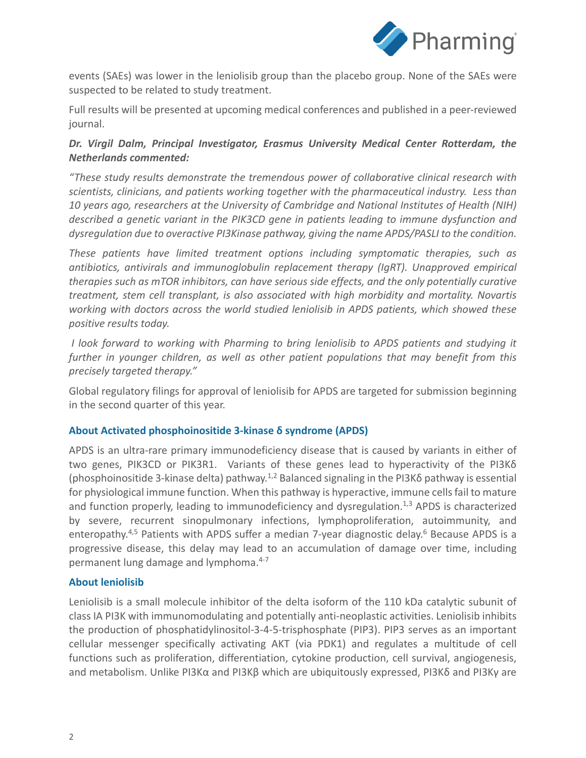

events (SAEs) was lower in the leniolisib group than the placebo group. None of the SAEs were suspected to be related to study treatment.

Full results will be presented at upcoming medical conferences and published in a peer-reviewed journal.

# *Dr. Virgil Dalm, Principal Investigator, Erasmus University Medical Center Rotterdam, the Netherlands commented:*

*"These study results demonstrate the tremendous power of collaborative clinical research with scientists, clinicians, and patients working together with the pharmaceutical industry. Less than 10 years ago, researchers at the University of Cambridge and National Institutes of Health (NIH) described a genetic variant in the PIK3CD gene in patients leading to immune dysfunction and dysregulation due to overactive PI3Kinase pathway, giving the name APDS/PASLI to the condition.* 

*These patients have limited treatment options including symptomatic therapies, such as antibiotics, antivirals and immunoglobulin replacement therapy (IgRT). Unapproved empirical therapies such as mTOR inhibitors, can have serious side effects, and the only potentially curative treatment, stem cell transplant, is also associated with high morbidity and mortality. Novartis working with doctors across the world studied leniolisib in APDS patients, which showed these positive results today.* 

*I look forward to working with Pharming to bring leniolisib to APDS patients and studying it further in younger children, as well as other patient populations that may benefit from this precisely targeted therapy."*

Global regulatory filings for approval of leniolisib for APDS are targeted for submission beginning in the second quarter of this year.

# **About Activated phosphoinositide 3-kinase δ syndrome (APDS)**

APDS is an ultra-rare primary immunodeficiency disease that is caused by variants in either of two genes, PIK3CD or PIK3R1. Variants of these genes lead to hyperactivity of the PI3Kδ (phosphoinositide 3-kinase delta) pathway.<sup>1,2</sup> Balanced signaling in the PI3K $\delta$  pathway is essential for physiological immune function. When this pathway is hyperactive, immune cells fail to mature and function properly, leading to immunodeficiency and dysregulation. $1,3$  APDS is characterized by severe, recurrent sinopulmonary infections, lymphoproliferation, autoimmunity, and enteropathy.<sup>4,5</sup> Patients with APDS suffer a median 7-year diagnostic delay.<sup>6</sup> Because APDS is a progressive disease, this delay may lead to an accumulation of damage over time, including permanent lung damage and lymphoma.4-7

#### **About leniolisib**

Leniolisib is a small molecule inhibitor of the delta isoform of the 110 kDa catalytic subunit of class IA PI3K with immunomodulating and potentially anti-neoplastic activities. Leniolisib inhibits the production of phosphatidylinositol-3-4-5-trisphosphate (PIP3). PIP3 serves as an important cellular messenger specifically activating AKT (via PDK1) and regulates a multitude of cell functions such as proliferation, differentiation, cytokine production, cell survival, angiogenesis, and metabolism. Unlike PI3Kα and PI3Kβ which are ubiquitously expressed, PI3Kδ and PI3Kγ are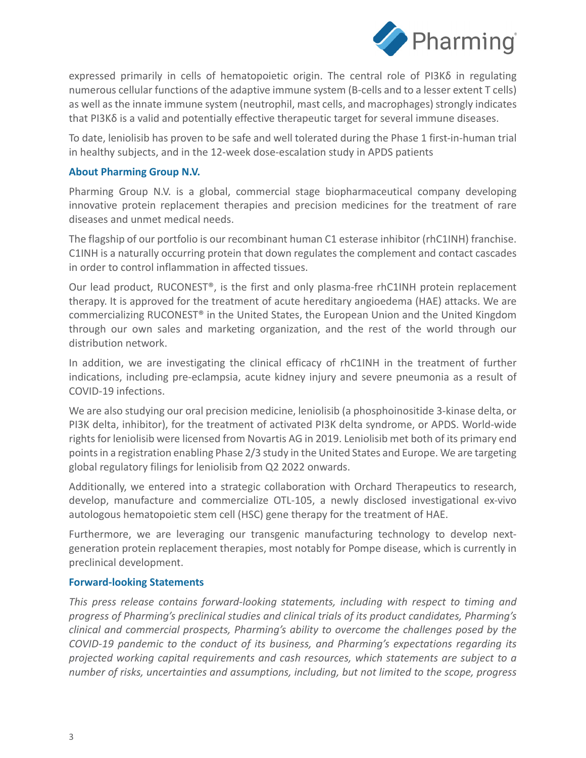

expressed primarily in cells of hematopoietic origin. The central role of PI3K $\delta$  in regulating numerous cellular functions of the adaptive immune system (B-cells and to a lesser extent T cells) as well as the innate immune system (neutrophil, mast cells, and macrophages) strongly indicates that PI3K $\delta$  is a valid and potentially effective therapeutic target for several immune diseases.

To date, leniolisib has proven to be safe and well tolerated during the Phase 1 first-in-human trial in healthy subjects, and in the 12-week dose-escalation study in APDS patients

### **About Pharming Group N.V.**

Pharming Group N.V. is a global, commercial stage biopharmaceutical company developing innovative protein replacement therapies and precision medicines for the treatment of rare diseases and unmet medical needs.

The flagship of our portfolio is our recombinant human C1 esterase inhibitor (rhC1INH) franchise. C1INH is a naturally occurring protein that down regulates the complement and contact cascades in order to control inflammation in affected tissues.

Our lead product, RUCONEST®, is the first and only plasma-free rhC1INH protein replacement therapy. It is approved for the treatment of acute hereditary angioedema (HAE) attacks. We are commercializing RUCONEST® in the United States, the European Union and the United Kingdom through our own sales and marketing organization, and the rest of the world through our distribution network.

In addition, we are investigating the clinical efficacy of rhC1INH in the treatment of further indications, including pre-eclampsia, acute kidney injury and severe pneumonia as a result of COVID-19 infections.

We are also studying our oral precision medicine, leniolisib (a phosphoinositide 3-kinase delta, or PI3K delta, inhibitor), for the treatment of activated PI3K delta syndrome, or APDS. World-wide rights for leniolisib were licensed from Novartis AG in 2019. Leniolisib met both of its primary end points in a registration enabling Phase 2/3 study in the United States and Europe. We are targeting global regulatory filings for leniolisib from Q2 2022 onwards.

Additionally, we entered into a strategic collaboration with Orchard Therapeutics to research, develop, manufacture and commercialize OTL-105, a newly disclosed investigational ex-vivo autologous hematopoietic stem cell (HSC) gene therapy for the treatment of HAE.

Furthermore, we are leveraging our transgenic manufacturing technology to develop nextgeneration protein replacement therapies, most notably for Pompe disease, which is currently in preclinical development.

#### **Forward-looking Statements**

*This press release contains forward-looking statements, including with respect to timing and progress of Pharming's preclinical studies and clinical trials of its product candidates, Pharming's clinical and commercial prospects, Pharming's ability to overcome the challenges posed by the COVID-19 pandemic to the conduct of its business, and Pharming's expectations regarding its projected working capital requirements and cash resources, which statements are subject to a number of risks, uncertainties and assumptions, including, but not limited to the scope, progress*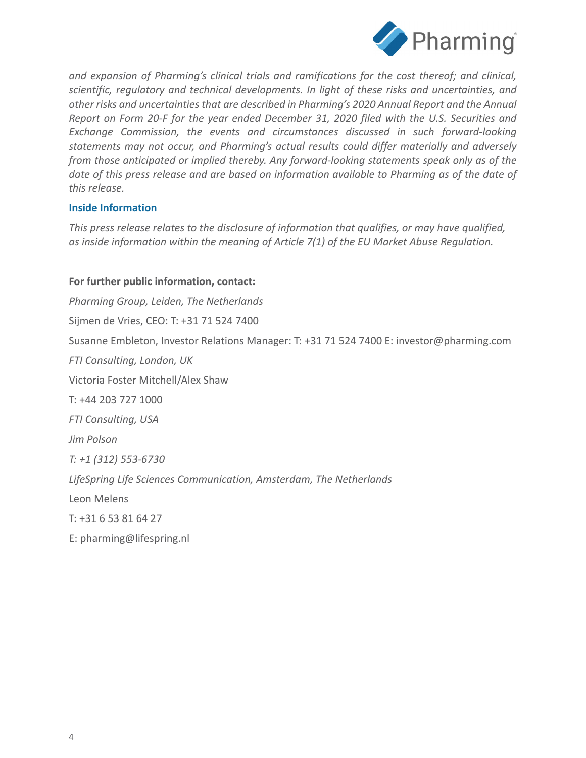

*and expansion of Pharming's clinical trials and ramifications for the cost thereof; and clinical, scientific, regulatory and technical developments. In light of these risks and uncertainties, and other risks and uncertainties that are described in Pharming's 2020 Annual Report and the Annual Report on Form 20-F for the year ended December 31, 2020 filed with the U.S. Securities and Exchange Commission, the events and circumstances discussed in such forward-looking statements may not occur, and Pharming's actual results could differ materially and adversely from those anticipated or implied thereby. Any forward-looking statements speak only as of the date of this press release and are based on information available to Pharming as of the date of this release.*

#### **Inside Information**

*This press release relates to the disclosure of information that qualifies, or may have qualified, as inside information within the meaning of Article 7(1) of the EU Market Abuse Regulation.*

#### **For further public information, contact:**

*Pharming Group, Leiden, The Netherlands* Sijmen de Vries, CEO: T: +31 71 524 7400 Susanne Embleton, Investor Relations Manager: T: +31 71 524 7400 E: investor@pharming.com *FTI Consulting, London, UK*  Victoria Foster Mitchell/Alex Shaw T: +44 203 727 1000 *FTI Consulting, USA Jim Polson T: +1 (312) 553-6730 LifeSpring Life Sciences Communication, Amsterdam, The Netherlands* Leon Melens T: +31 6 53 81 64 27

E: pharming@lifespring.nl